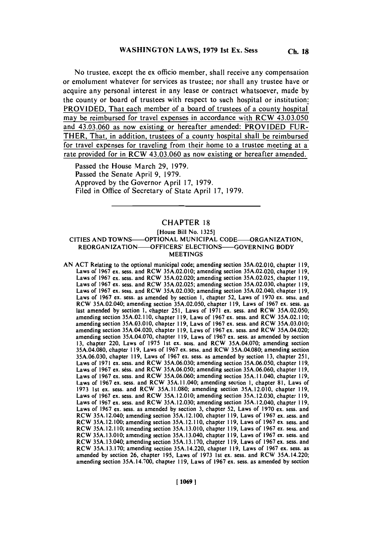No trustee, except the ex officio member, shall receive any compensation or emolument whatever for services as trustee; nor shall any trustee have or acquire any personal interest in any lease or contract whatsoever, made **by** the county or board of trustees with respect to such hospital or institution: PROVIDED, That each member of a board of trustees of a county hospital may be reimbursed for travel expenses in accordance with RCW 43.03.050 and 43.03.060 as now existing or hereafter amended: PROVIDED FUR-THER, That, in addition, trustees of a county hospital shall be reimbursed for travel expenses for traveling from their home to a trustee meeting at a rate provided for in RCW 43.03.060 as now existing or hereafter amended.

Passed the House March **29, 1979.** Passed the Senate April **9, 1979.** Approved **by** the Governor April **17, 1979.** Filed in Office of Secretary of State April **17, 1979.**

# CHAPTER **18**

## [House Bill No. **1325] CITIES AND TOWNS- OPTIONAL MUNICIPAL CODE- ORGANIZATION,** REORGANIZATION -OFFICERS' **ELECTIONS-GOVERNING** BODY **MEETINGS**

**AN ACT** Relating to the optional municipal code; amending section **35A.02.010,** chapter **119,** Laws of **1967** ex. sess. and RCW **35A.02.010;** amending section **35A.02.020,** chapter **119,** Laws of **1967** ex. sess. and RCW **35A.02.020;** amending section **35A.02.025,** chapter **119,** Laws of **1967** ex. sess. and RCW **35A.02.025;** amending section **35A.02.030,** chapter **119,** Laws of **1967** ex. sess. and RCW **35A.02.030;** amending section 35A.02.040, chapter **119,** Laws of **1967** ex. sess. as amended **by** section **1,** chapter **52,** Laws of **1970** ex. sess. and RCW 35A.02.040; amending section **35A.02.050,** chapter **119,** Laws of **1967** ex. sess. as last amended **by** section **1,** chapter **251,** Laws of **1971** ex. sess. and RCW **35A.02.050;** amending section **35A.02.1 10,** chapter **119,** Laws of **1967** ex. sess. and RCW **35A.02.1 10;** amending section **35A.03.010,** chapter **119,** Laws of **1967** ex. sess. and RCW **35A.03.010;** amending section 35A.04.020, chapter **119,** Laws of **1967** ex. sess. and RCW 35A.04.020; amending section **35A.04.070,** chapter **119,** Laws of **1967** ex. sess. as amended **by** section **13,** chapter 220, Laws of **1975** Ist ex. sess. and RCW **35A.04.070;** amending section **35A.04.080,** chapter **119,** Laws of **1967** ex. sess. and RCW **35A.04.080;** amending section **35A.06.030,** chapter **119,** Laws of **1967** ex. sess. as amended **by** section **13,** chapter **251,** Laws of **1971** ex. sess. and RCW **35A.06.030;** amending section **35A.06.050,** chapter **119,** Laws of **1967** ex. sess. and RCW **35A.06.050;** amending section **35A.06.060,** chapter **119,** Laws of **1967** ex. sess. and RCW **35A.06.060;** amending section **35A.** 11.040, chapter **119,** Laws of **1967** ex. sess. and RCW **35A.** 11.040; amending section **1,** chapter **81,** Laws of **1973** 1st ex. sess. and RCW **35A.11.080;** amending section **35A.12.010,** chapter **119,** Laws of **1967** ex. sess. and RCW **35A.12.010;** amending section **35A.12.030,** chapter **119,** Laws of **1967** ex. sess. and RCW **35A.12.030;** amending section **35A.12.040,** chapter **119,** Laws of **1967** ex. sess. as amended **by** section **3,** chapter **52,** Laws of **1970** ex. sess. and RCW 35A.12.040; amending section **35A.12.100,** chapter **119,** Laws of **1967** ex. sess. and RCW **35A.12.100;** amending section **35A.12.110,** chapter **119,** Laws of **1967** ex. sess. and RCW **35A.12.110;** amending section **35A.13.010,** chapter **119,** Laws of **1967** ex. sess. and RCW **35A.13.010;** amending section **35A.13.040,** chapter **119,** Laws of **1967** ex. sess. and RCW **35A.13.040;** amending section **35A.13.170,** chapter **119,** Laws of **1967** ex. sess. and RCW **35A.13.170;** amending section 35A.14.220, chapter **119,** Laws of **1967** ex. sess. as amended **by** section **26,** chapter **195,** Laws of **1973** 1st ex. sess. and RCW 35A.14.220; amending section **35A.14.700,** chapter **119,** Laws of **1967** ex. sess. as amended **by** section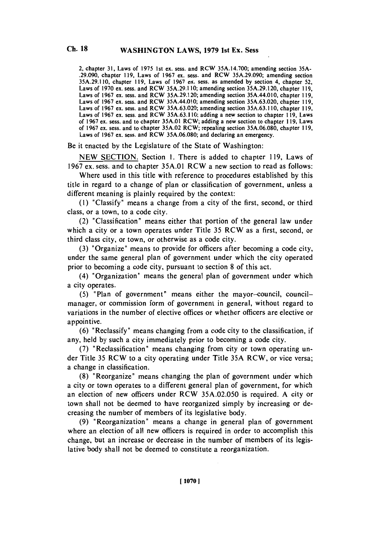2, chapter **31,** Laws of *1975* 1st ex. sess. and RCW **35A.14.700;** amending section **35A- .29.090,** chapter **119,** Laws of **1967** ex. sess. and RCW **35A.29.090;** amending section **35A.29.1 10,** chapter **119,** Laws of **1967** ex. sess. as amended **by** section 4, chapter **52,** Laws of **1970** ex. sess. and RCW **35A.29.1 10;** amending section **35A.29.120,** chapter **119,** Laws of **1967** ex. sess. and RCW **35A.29.120;** amending section 35A.44.010, chapter **119,** Laws of **1967** ex. sess. and RCW 35A.44.010; amending section **35A.63.020,** chapter **119,** Laws of **1967** cx. sess. and RCW **35A.63.020;** amending section **35A.63.1 10,** chapter **119,** Laws of **1967** cx. sess. and RCW **35A.63.1 10;** adding a new section to chapter **119,** Laws of **1967** ex. sess. and to chapter **35A.01** RCW; adding a new section to chapter **119,** Laws of **1967** ex. sess. and to chapter **35A.02 RCW;** repealing section **35A.06.080,** chapter **119,** Laws of **1967** ex. sess. and RCW **35A.06.080;** and declaring an emergency.

Be it enacted **by** the Legislature of the State of Washington:

**NEW SECTION.** Section **1.** There is added to chapter **119,** Laws of **1967** ex. sess. and to chapter **35A.01** RCW a new section to read as follows:

Where used in this title with reference to procedures established **by** this title in regard to a change of plan or classification of government, unless a different meaning is plainly required **by** the context:

**(1)** "Classify" means a change from a city **of** the first, second, or third class, or a town, to a code city.

(2) "Classification' means either that portion of the general law under which a city or a town operates under Title *35* RCW as a first, second, or third class city, or town, or otherwise as a code city.

**(3)** 'Organize" means to provide for officers after becoming a code city, under the same general plan of government under which the city operated prior to becoming a code city, pursuant to section **8** of this act.

(4) "Organization" means the general plan of government under which a city operates.

*(5)* "Plan of government' means either the mayor-council, councilmanager, or commission form of government in general, without regard to variations in the number of elective offices or whether officers are elective or appointive.

**(6)** 'Reclassify" means changing from a code city to the classification, if any, held **by** such a city immediately prior to becoming a code city.

**(7)** 'Reclassification" means changing from city or town operating under Title **35** RCW to a city operating under Title *35A* RCW, or vice versa; a change in classification.

**(8)** 'Reorganize" means changing the plan of government under which a city or town operates to a different general plan of government, for which an election of new officers under RCW **35A.02.050** is required. **A** city or town shall not be deemed to have reorganized simply **by** increasing or decreasing the number of members of its legislative body.

**(9)** 'Reorganization' means a change in general plan of government where an election of all new officers is required in order to accomplish this change, but an increase or decrease in the number of members of its legislative body shall not be deemed to constitute a reorganization.

**Ch. 18**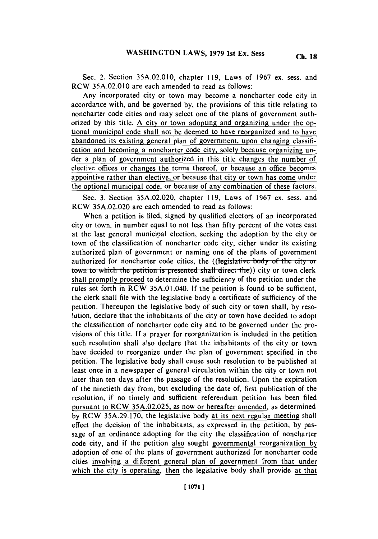Sec. 2. Section **35A.02.0 10,** chapter **119,** Laws of **1967** ex. sess. and RCW **35A.02.010** are each amended to read as follows:

Any incorporated city or town may become a noncharter code city in accordance with, and be governed **by,** the provisions of this title relating to noncharter code cities and may select one of the plans of government authorized **by** this title. **A** city or town adopting and organizing under the optional municipal code shall not be deemed to have reorganized and to have abandoned its existing general plan of government, upon changing classification and becoming a noncharter code city, solely because organizing under a plan of government authorized in this title changes the number of elective offices or changes the terms thereof, or because an office becomes appointive rather than elective, or because that city or town has come under the optional municipal code, or because of any combination of these factors.

Sec. **3.** Section **35A.02.020,** chapter **119,** Laws of **1967** ex. sess. and RCW **35A.02.020** are each amended to read as follows:

When a petition is filed, signed **by** qualified electors of an incorporated city or town, in number equal to not less than **fifty** percent of the votes cast at the last general municipal election, seeking the adoption **by** the city or town of the classification of noncharter code city, either under its existing authorized plan of government or naming one of the plans of government authorized for noncharter code cities, the ((legislative body of the city or **town to which the petition is presented shall direct the**)) city or town clerk shall promptly proceed to determine the sufficiency of the petition under the rules set forth in RCW 35A.01.040. **If** the petition is found to be sufficient, the clerk shall file with the legislative body a certificate of sufficiency of the petition. Thereupon the legislative body of such city or town shall, **by** resolution, declare that the inhabitants of the city or town have decided to adopt the classification of noncharter code city and to be governed under the provisions of this title. **If** a prayer for reorganization is included in the petition such resolution shall also declare that the inhabitants of the city or town have decided to reorganize under the plan of government specified in the petition. The legislative body shall cause such resolution to be published at least once in a newspaper of general circulation within the city or town not later than ten days after the passage of the resolution. Upon the expiration of the ninetieth day from, but excluding the date of, first publication of the resolution, if no timely and sufficient referendum petition has been filed pursuant to RCW **35A.02.025,** as now or hereafter amended, as determined **by** RCW **35A.29.170,** the legislative body at its next regular meeting shall effect the decision of the inhabitants, as expressed in the petition, **by** passage of an ordinance adopting for the city the classification of noncharter code city, and if the petition also sought governmental reorganization **by** adoption of one of the plans of government authorized for noncharter code cities involving a different general plan of government from that under which the city is operating, then the legislative body shall provide at that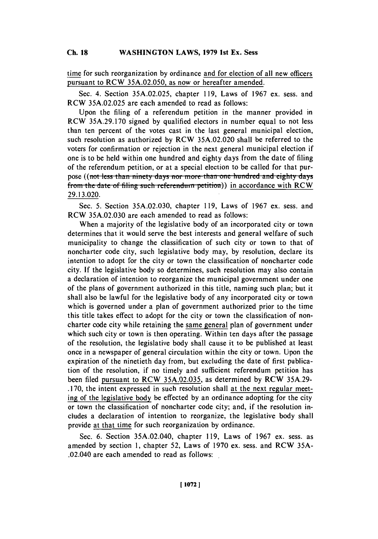### **WASHINGTON LAWS, 1979 1st Ex. Sess Ch. 18**

time for such reorganization **by** ordinance and for election of all new officers pursuant to RCW **35A.02.050,** as now or hereafter amended.

Sec. 4. Section **35A.02.025,** chapter **119,** Laws of **1967** ex. sess. and RCW **35A.02.025** are each amended to read as follows:

Upon the filing of a referendum petition in the manner provided in RCW **35A.29.170** signed **by** qualified electors in number equal to not less than ten percent of the votes cast in the last general municipal election, such resolution as authorized **by** RCW **35A.02.020** shall be referred to the voters for confirmation or rejection in the next general municipal election if one is to be held within one hundred and eighty days from the date of filing of the referendum petition, or at a special election to be called for that purpose ((not less than ninety days nor more than one hundred and eighty days from the date of filing such referendum petition)) in accordance with RCW **29.13.020.**

Sec. **5.** Section **35A.02.030,** chapter **119,** Laws of **1967** ex. sess. and RCW **35A.02.030** are each amended to read as follows:

When a majority of the legislative body of an incorporated city or town determines that it would serve the best interests and general welfare of such municipality to change the classification of such city or town to that of noncharter code city, such legislative body may, **by** resolution, declare its intention to adopt for the city or town the classification of noncharter code city. **If** the legislative body so determines, such resolution may also contain a declaration of intention to reorganize the municipal government under one of the plans of government authorized in this title, naming such plan; but it shall also be lawful for the legislative body of any incorporated city or town which is governed under a plan of government authorized prior to the time this title takes effect to adopt for the city or town the classification of noncharter code city while retaining the same general plan of government under which such city or town is then operating. Within ten days after the passage of the resolution, the legislative body shall cause it to be published at least once in a newspaper of general circulation within the city or town. Upon the expiration of the ninetieth day from, but excluding the date of first publication of the resolution, if no timely and sufficient referendum petition has been filed pursuant to RCW **35A.02.035,** as determined **by** RCW **35A.29- .170,** the intent expressed in such resolution shall at the next regular meeting of the legislative body be effected **by** an ordinance adopting for the city or town the classification of noncharter code city; and, if the resolution includes a declaration of intention to reorganize, the legislative body shall provide at that time for such reorganization **by** ordinance.

Sec. **6.** Section 35A.02.040, chapter **119,** Laws of **1967** ex. sess. as amended **by** section **1,** chapter *52,* Laws of **1970** ex. sess. and RCW **35A-** .02.040 are each amended to read as follows: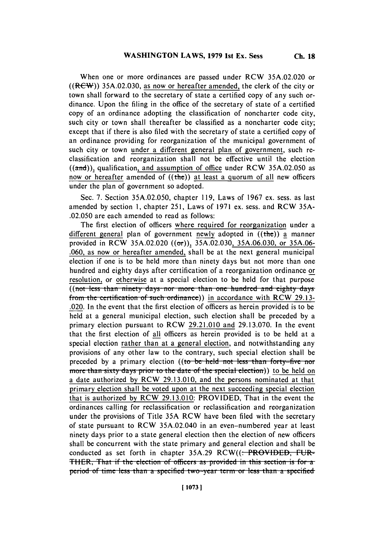When one or more ordinances are passed under RCW **35A.02.020** or ((ReW)) **35A.02.030,** as now or hereafter amended, the clerk of the city or town shall forward to the secretary of state a certified copy of any such ordinance. Upon the filing in the office of the secretary of state of a certified copy of an ordinance adopting the classification of noncharter code city, such city or town shall thereafter be classified as a noncharter code city; except that if there is also filed with the secretary of state a certified copy of an ordinance providing for reorganization of the municipal government of such city or town under a different general plan of government, such reclassification and reorganization shall not be effective until the election ((and)), qualification, and assumption of office under RCW 35A.02.050 as now or hereafter amended of  $((*the*))$  at least a quorum of all new officers under the plan of government so adopted.

Sec. **7.** Section **35A.02.050,** chapter **119,** Laws of **1967** ex. sess. as last amended **by** section **1,** chapter **251,** Laws of **1971** ex. sess. and **RCW 35A- .02.050** are each amended to read as follows:

The first election of officers where required for reorganization under a different general plan of government newly adopted in  $((the))$  a manner provided in RCW **35A.02.020** ((orr)), **35A.02.030, 35A.06.030,** or **35A.06- .060,** as now or hereafter amended, shall be at the next general municipal election if one is to be held more than ninety days but not more than one hundred and eighty days after certification of a reorganization ordinance or resolution, or otherwise at a special election to be held for that purpose ((not less than ninety days nor more than one hundred and eighty days from the certification of such ordinance)) in accordance with RCW 29.13-.020. In the event that the first election of officers as herein provided is to be held at a general municipal election, such election shall be preceded **by** a primary election pursuant to RCW **29.21.010** and **29.13.070.** In the event that the first election of all officers as herein provided is to be held at a special election rather than at a general election, and notwithstanding any provisions of any other law to the contrary, such special election shall be preceded by a primary election ((to be held not less than forty-five nor more than sixty days prior to the date of the special election)) to be held on a date authorized **by RCW 29.13.010,** and the persons nominated at that primary election shall be voted upon at the next succeeding special election" that is authorized **by** RCW **29.13.010:** PROVIDED, That in the event the ordinances calling for reclassification or reclassification and reorganization under the provisions of Title **35A** RCW have been filed with the secretary of state pursuant to RCW 35A.02.040 in an even-numbered year at least ninety days prior to a state general election then the election of new officers shall be concurrent with the state primary and general election and shall be conducted as set forth in chapter 35A.29 RCW((: PROVIDED, FUR-**THER.** That if the election of officers as provided in this section is for a **period of time less than a specified two-year term or less than a specified**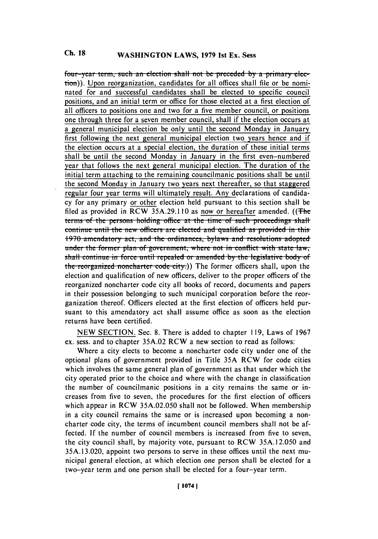four-year term, such an election shall not be preceded by a primary election)). Upon reorganization, candidates for all offices shall file or be nominated for and successful candidates shall be elected to specific council positions, and an initial term or office for those elected at a first election of all officers to positions one and two for a five member council, or positions one through three for a seven member council, shall if the election occurs at a general municipal election be only until the second Monday in January first following the next general municipal election two years hence and if the election occurs at a special election, the duration of these initial terms shall be until the second Monday in January in the first even-numbered year that follows the next general municipal election. The duration of the initial term attaching to the remaining councilmanic positions shall be until the second Monday in January two years next thereafter, so that staggered regular four year terms will ultimately result. Any declarations of candidacy for any primary or other election held pursuant to this section shall be filed as provided in RCW 35A.29.110 as now or hereafter amended. ((The terms of the persons holding office at the time of such proceedings shall **continue until the new officers are elected and qualified as provided in this** 1970 amendatory act, and the ordinances, bylaws and resolutions adopted **<u>bunder the former plan of government, where not in conflict with state law,</u> shall continue in force until repealed or amended by the legislative body of** the reorganized noncharter code city.)) The former officers shall, upon the election and qualification of new officers, deliver to the proper officers of the reorganized noncharter code city all books of record, documents and papers in their possession belonging to such municipal corporation before the reorganization thereof. Officers elected at the first election of officers held pursuant to this amendatory act shall assume office as soon as the election returns have been certified.

**NEW SECTION.** Sec. **8.** There is added to chapter **119,** Laws of **1967** ex. sess. and to chapter *35A.02* RCW a new section to read as follows:

Where a city elects to become a noncharter code city under one of the optional plans of government provided in Title *35A* RCW for code cities which involves the same general plan of government as that under which the city operated prior to the choice and where with the change in classification the number of councilmanic positions in a city remains the same or increases from five to seven, the procedures for the first election of officers which appear in RCW *35A.02.050* shall not be followed. When membership in a city council remains the same or is increased upon becoming a noncharter code city, the terms of incumbent council members shall not be affected. **If** the number of council members is increased from five to seven, the city council shall, **by** majority vote, pursuant to RCW **35A.12.050** and **35A.13.020,** appoint two persons to serve in these offices until the next municipal general election, at which election one person shall be elected for a two-year term and one person shall be elected for a four-year term.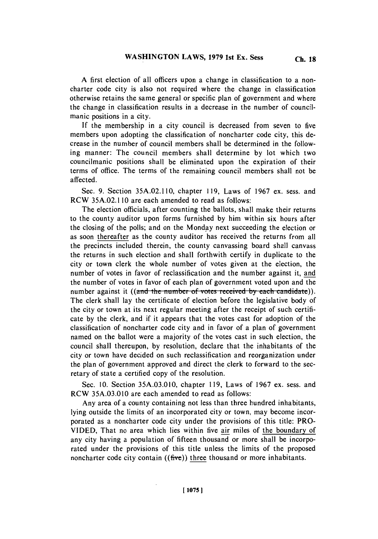**A** first election of all officers upon a change in classification to a noncharter code city is also not required where the change in classification otherwise retains the same general or specific plan of government and where the change in classification results in a decrease in the number of councilmanic positions in a city.

**If** the membership in a city council is decreased from seven to five members upon adopting the classification of noncharter code city, this decrease in the number of council members shall be determined in the following manner: The council members shall determine **by** lot which two councilmanic positions shall be eliminated upon the expiration of their terms of office. The terms of the remaining council members shall not be affected.

Sec. **9.** Section **35A.02.1 10,** chapter **119,** Laws of **1967** ex. sess. and RCW **35A.02.1 10** are each amended to read as follows:

The election officials, after counting the ballots, shall make their returns to the county auditor upon forms furnished **by** him within six hours after the closing of the polls; and on the Monday next succeeding the election or as soon thereafter as the county auditor has received the returns from all the precincts included therein, the county canvassing board shall canvass the returns in such election and shall forthwith certify in duplicate to the city or town clerk the whole number of votes given at the election, the number of votes in favor of reclassification and the number against it. and the number of votes in favor of each plan of government voted upon and the number against it ((and the number of votes received by each candidate)). The clerk shall lay the certificate of election before the legislative body of the city or town at its next regular meeting after the receipt of such certificate **by** the clerk, and if it appears that the votes cast for adoption of the classification of noncharter code city and in favor of a plan of government named on the ballot were a majority of the votes cast in such election, the council shall thereupon, **by** resolution, declare that the inhabitants of the city or town have decided on such reclassification and reorganization under the plan of government approved and direct the clerk to forward to the secretary of state a certified copy of the resolution.

Sec. **10.** Section *35A.03.010,* chapter **119,** Laws of **1967** ex. sess. and RCW **35A.03.010** are each amended to read as follows:

Any area of a county containing not less than three hundred inhabitants, lying outside the limits of an incorporated city or town, may become incorporated as a noncharter code city under the provisions of this title: PRO-**VIDED,** That no area which lies within five air miles of the boundary of any city having a population of fifteen thousand or more shall be incorporated under the provisions of this title unless the limits of the proposed noncharter code city contain  $((\text{five}))$  three thousand or more inhabitants.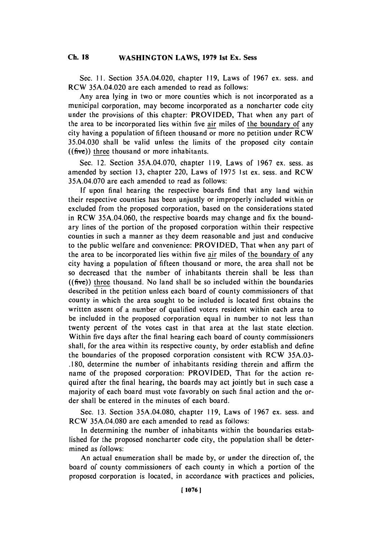### **Ch. WASHINGTON 18 LAWS, 1979 1st Ex. Sess Ch. 18**

Sec. **11.** Section 35A.04.020, chapter **119,** Laws of **1967** ex. sess. and RCW 35A.04.020 are each amended to read as follows:

Any area lying in two or more counties which is not incorporated as a municipal corporation, may become incorporated as a noncharter code city under the provisions of this chapter: PROVIDED, That when any part of the area to be incorporated lies within five air miles of the boundary of any city having a population of fifteen thousand or more no petition under RCW 35.04.030 shall be valid unless the limits of the proposed city contain **((five))** three thousand or more inhabitants.

Sec. 12. Section **35A.04.070,** chapter **119,** Laws of **1967** ex. sess. as amended **by** section **13,** chapter 220, Laws of **1975** 1st ex. sess. and RCW **35A.04.070** are each amended to read as follows:

**If** upon final hearing the respective boards find that any land within their respective counties has been unjustly or improperly included within or excluded from the proposed corporation, based on the considerations stated in RCW **35A.04.060,** the respective boards may change and fix the boundary lines of the portion of the proposed corporation within their respective counties in such a manner as they deem reasonable and just and conducive to the public welfare and convenience: PROVIDED, That when any part of the area to be incorporated lies within five air miles of the boundary of any city having a population of fifteen thousand or more, the area shall not be so decreased that the number of inhabitants therein shall **be** less than **((five))** three thousand. No land shall be so included within the boundaries described in the petition unless each board of county commissioners of that county in which the area sought to be included is located first obtains the written assent of a number of qualified voters resident within each area to be included in the proposed corporation equal in number to not less than twenty percent of the votes cast in that area at the last state election. Within five days after the final hearing each board of county commissioners shall, for the area within its respective county, **by** order establish and define the boundaries of the proposed corporation consistent with RCW **35A.03- .180,** determine the number of inhabitants residing therein and affirm the name of the proposed corporation: PROVIDED, That for the action required after the final hearing, the boards may act jointly but in such case a majority of each board must vote favorably on such final action and the order shall be entered in the minutes of each board.

Sec. **13.** Section **35A.04.080,** chapter **119,** Laws of **1967** ex. sess. and RCW **35A.04.080** are each amended to read as follows:

In determining the number of inhabitants within the boundaries established for the proposed noncharter code city, the population shall be determined as follows:

An actual enumeration shall be made **by,** or under the direction of, the board of county commissioners of each county in which a portion of the proposed corporation is located, in accordance with practices and policies,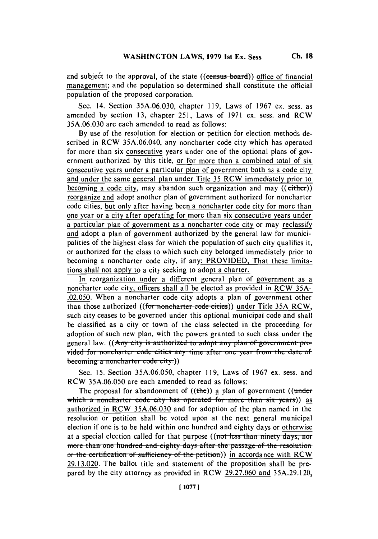Sec. 14. Section **35A.06.030,** chapter **119,** Laws of **1967** ex. sess. as amended **by** section **13,** chapter **251,** Laws of **1971** ex. sess. and RCW **35A.06.030** are each amended to read as follows:

**By** use of the resolution for election or petition for election methods described in RCW **35A.06.040,** any noncharter code city which has operated for more than six consecutive years under one of the optional plans of government authorized **by** this title, or for more than a combined total of six. consecutive years under a particular plan of government both as a code city and under the same general plan under Title **35** RCW immediately prior to becoming a code city, may abandon such organization and may ((either)) reorganize and adopt another plan of government authorized for noncharter code cities, but only after having been a noncharter code city for more than one year or a city after operating for more than six consecutive years under a particular plan of government as a noncharter code city or may reclassify and adopt a plan of government authorized **by** the general law for municipalities of the highest class for which the population of such city qualifies it, or authorized for the class to which such city belonged immediately prior to becoming a noncharter code city, if any: PROVIDED, That these limitations shall not apply to a city seeking to adopt a charter.

In reorganization under a different general plan of government as a noncharter code city, officers shall all be elected as provided in RCW **35A- .02.050.** When a noncharter code city adopts a plan of government other than those authorized ((for noncharter code cities)) under Title 35A RCW, such city ceases to be governed under this optional municipal code and shall be classified as a city or town of the class selected in the proceeding for adoption of such new plan, with the powers granted to such class under the general law. **((Any city is authorized to adopt any plan of government pro**vided for noncharter code cities any time after one year from the date of becoming a noncharter code city.))

Sec. **15.** Section **35A.06.050,** chapter **119,** Laws of **1967** ex. sess. and RCW **35A.06.050** are each amended to read as follows:

The proposal for abandonment of  $((the))$  a plan of government  $((under$ which a noncharter code city has operated for more than six years)) as authorized in RCW **35A.06.030** and for adoption of the plan named in the resolution or petition shall be voted upon at the next general municipal election if one is to be held within one hundred and eighty days or otherwise at a special election called for that purpose ((not less than ninety days, nor more than one hundred and eighty days after the passage of the resolution or the certification of sufficiency of the petition)) in accordance with RCW **29.1 3.020.** The ballot title and statement of the proposition shall be prepared **by** the city attorney as provided in RCW **.29.27.060** and **35A.29.120,**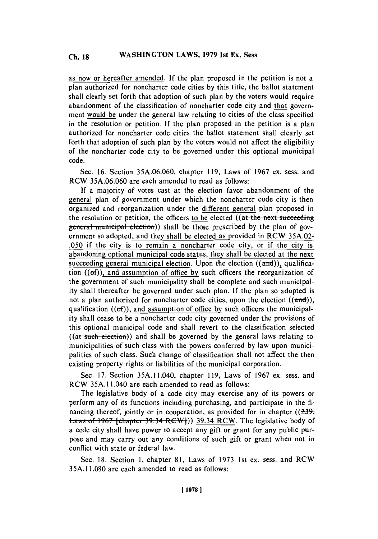as now or hereafter amended. **If** the plan proposed in the petition is not a plan authorized for noncharter code cities **by** this title, the ballot statement shall clearly set forth that adoption of such plan **by** the voters would require abandonment of the classification of noncharter code city and that government would be under the general law relating to cities of the class specified in the resolution or petition. **If** the plan proposed in the petition is a plan authorized for noncharter code cities the ballot statement shall clearly set forth that adoption of such plan **by** the voters would not affect the eligibility of the noncharter code city to be governed under this optional municipal code.

Sec. **16.** Section **35A.06.060,** chapter **119,** Laws of **1967** ex. sess. and RCW **35A.06.060** are each amended to read as follows:

**If** a majority of votes cast at the election favor abandonment of the general plan of government under which the noncharter code city is then organized and reorganization under the different general plan proposed in the resolution or petition, the officers to be elected ((at the next succeeding general municipal election)) shall be those prescribed by the plan of government so adopted, and they shall be elected as provided in RCW **35A.02- .050** if the city is to remain a noncharter code city, or if the city is abandoning optional municipal code status, they shall be elected at the next succeeding general municipal election. Upon the election  $((\text{and}))$ , qualification ((of)), and assumption of office **by** such officers the reorganization of the government of such municipality shall be complete and such municipality shall thereafter be governed under such plan. **If** the plan so adopted is not a plan authorized for noncharter code cities, upon the election  $((\text{and}))$ , qualification ((of)), and assumption of office **by** such officers the municipality shall cease to be a noncharter code city governed under the provisions of this optional municipal code and shall revert to the classification selected ((at such election)) and shall be governed by the general laws relating to municipalities of such class with the powers conferred **by** law upon municipalities of such class. Such change of classification shall not affect the then existing property rights or liabilities of the municipal corporation.

Sec. **17.** Section 35A.1 1.040, chapter **119,** Laws of **1967** ex. sess. and RCW **35A. 11** .040 are each amended to read as follows:

The legislative body of a code city may exercise any of its powers or perform any of its functions including purchasing, and participate in the **fi**nancing thereof, jointly or in cooperation, as provided for in chapter **((23+, Laws of 1967 [chapter 39.34 RCW])) 39.34 RCW. The legislative body of** a code city shall have power to accept any gift or grant for any public purpose and may carry out any conditions of such gift or grant when not in conflict with state or federal law.

Sec. **18.** Section **1,** chapter **81,** Laws of **1973** 1st ex. sess. and **RCW** *35A.1* **1.080** are each amended to read as follows: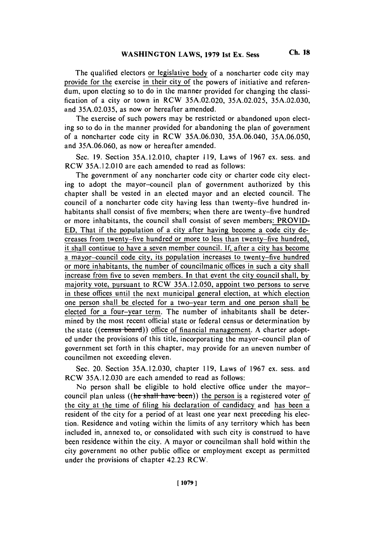The qualified electors or legislative body of a noncharter code city may provide for the exercise in their city of the powers of initiative and referendum, upon electing so to do in the manner provided for changing the classification of a city or town in RCW **35A.02.020, 35A.02.025, 35A.02.030,** and **35A.02.035,** as now or hereafter amended.

The exercise of such powers may be restricted or abandoned upon electing so to do in the manner provided for abandoning the plan of government of a noncharter code city in RCW **35A.06.030, 35A.06.040, 35A.06.050,** and **35A.06.060,** as now or hereafter amended.

Sec. **19.** Section **35A.12.010,** chapter **119,** Laws of **1967** ex. sess. and RCW 35A.12.010 are each amended to read as follows:

The government of any noncharter code city or charter code city electing to adopt the mayor-council plan of government authorized **by** this chapter shall be vested in an elected mayor and an elected council. The council of a noncharter code city having less than twenty-five hundred inhabitants shall consist of five members; when there are twenty-five hundred or more inhabitants, the council shall consist of seven members: PROVID-**ED,** That if the population of a city after having become a code city decreases from twenty-five hundred or more to less than twenty-five hundred, it shall continue to have a seven member council. **If,** after a city has become a mayor-council code city, its population increases to twenty-five hundred or more inhabitants, the number of councilmanic offices in such a city shall increase from five to seven members. In that event the city council shall, **by** majority vote, pursuant to RCW **35A.12.050,** appoint two persons to serve in these offices until the next municipal general election, at which election one person shall be elected for a two-year term and one person shall be elected for a four-year term. The number of inhabitants shall be determined **by** the most recent official state or federal census or determination **by** the state ((census board)) office of financial management. A charter adopted under the provisions of this title, incorporating the mayor-council plan of government set forth in this chapter, may provide for an uneven number of councilmen not exceeding eleven.

Sec. 20. Section **35A.12.030,** chapter **119,** Laws of **1967** ex. sess. and RCW **35A.12.030** are each amended to read as follows:

No person shall be eligible to hold elective office under the mayorcouncil plan unless ((he shall have been)) the person is a registered voter of the city at the time of filing his declaration of candidacy and has been a resident of the city for a period of at least one year next preceding his election. Residence and voting within the limits of any territory which has been included in, annexed to, or consolidated with such city is construed to have been residence within the city. **A** mayor or councilman shall hold within the city government no other public office or employment except as permitted under the provisions of chapter 42.23 RCW.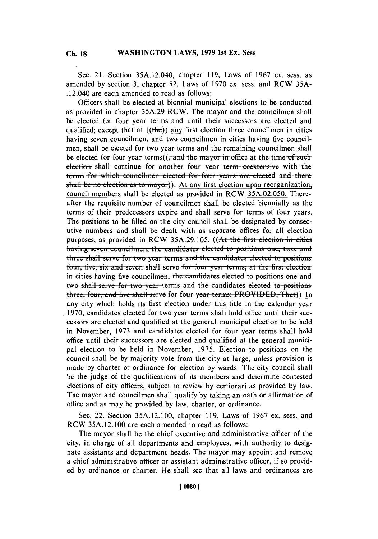Sec. 21. Section 35A.12.040, chapter **119,** Laws of **1967** ex. sess. as amended **by** section **3,** chapter **52,** Laws of **1970** ex. sess. and RCW **35A-** .12.040 are each amended to read as follows:

Officers shall be elected at biennial municipal elections to be conducted as provided in chapter **35A.29** RCW. The mayor and the councilmen shall be elected for four year terms and until their successors are elected and qualified; except that at  $((the))$  any first election three councilmen in cities having seven councilmen, and two councilmen in cities having five councilmen, shall be elected for two year terms and the remaining councilmen shall be elected for four year terms((<del>, and the mayor in office at the time of such</del> election shall continue for another four year term coextensive with the terms for which councilmen elected for four years are elected and there shall be no election as to mayor)). At any first election upon reorganization, council members shall be elected as provided in RCW **35A.02.050.** Thereafter the requisite number of councilmen shall be elected biennially as the terms of their predecessors expire and shall serve for terms of four years. The positions to be filled on the city council shall be designated **by** consecutive numbers and shall be dealt with as separate offices for all election purposes, as provided in RCW 35A.29.105. ((At the first election in cities having seven councilmen, the candidates elected to positions one, two, and **three shall serve for two year terms and the candidates elected to positions** four, five, six and seven shall serve for four year terms; at the first election **in** cities having five councilmen, the candidates elected to positions one and **two shall serve for two year terms and the candidates elected to positions** three, four, and five shall serve for four year terms: PROVIDED, That)) In any city which holds its first election under this title in the calendar year **1970,** candidates elected for two year terms shall hold office until their successors are elected and qualified at the general municipal election to be held in November, **1973** and candidates elected for four year terms shall hold office until their successors are elected and qualified at the general municipal election to be held in November, **1975.** Election to positions on the council shall be **by** majority vote from the city at large, unless provision is made **by** charter or ordinance for election **by** wards. The city council shall be the judge of the qualifications of its members and determine contested elections of city officers, subject to review **by** certiorari as provided **by** law. The mayor and councilmen shall qualify **by** taking an oath or affirmation of office and as may be provided **by** law, charter, or ordinance.

Sec. 22. Section **35A.12.100,** chapter **119,** Laws of **1967** ex. sess. and RCW **35A. 12. 100** are each amended to read as follows:

The mayor shall be the chief executive and administrative officer of the city, in charge of all departments and employees, with authority to designate assistants and department heads. The mayor may appoint and remove a chief administrative officer or assistant administrative officer, if so provided **by** ordinance or charter. He shall see that all laws and ordinances are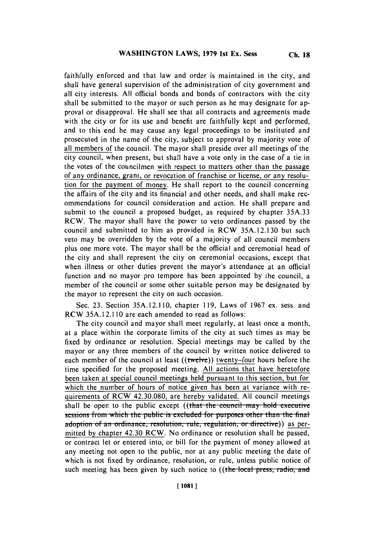faithfully enforced and that law and order is maintained in the city, and shall have general supervision of the administration of city government and all city interests. **All** official bonds and bonds of contractors with the city shall be submitted to the mayor or such person as he may designate for approval or disapproval. He shall see that all contracts and agreements made with the city or for its use and benefit are faithfully kept and performed, and to this end he may cause any legal proceedings to be instituted and prosecuted in the name of the city, subject to approval **by** majority vote of all members of the council. The mayor shall preside over all meetings of the city council, when present, but shall have a vote only in the case of a tie in the votes of the councilmen with respect to matters other than the passage of any ordinance, grant, or revocation of franchise or license, or any resolution for the payment of money. He shall report to the council concerning the affairs of the city and its financial and other needs, and shall make recommendations for council consideration and action. He shall prepare and submit to the council a proposed budget, as required **by** chapter **35A.33** RCW. The mayor shall have the power to veto ordinances passed **by** the council and submitted to him as provided in RCW **35A.12.130** but such veto may be overridden **by** the vote of a majority of all council members plus one more vote. The mayor shall be the official and ceremonial head of the city and shall represent the city on ceremonial occasions, except that when illness or other duties prevent the mayor's attendance at an official function and no mayor pro tempore has been appointed **by** the council, a member of the council or some other suitable person may be designated **by** the mayor to represent the city on such occasion.

Sec. **23.** Section **35A.** 12.1 **10,** chapter **119,** Laws of **1967** ex. sess. and RCW **35A.12.1 10** are each amended to read as follows:

The city council and mayor shall meet regularly, at least once a month, at a place within the corporate limits of the city at such times as may be fixed **by** ordinance or resolution. Special meetings may be called **by** the mayor or any three members of the council **by** written notice delivered to each member of the council at least ((twelve)) twenty-four hours before the time specified for the proposed meeting. **All** actions that have heretofore been taken at special council meetings held pursuant to this section, but for which the number of hours of notice given has been at variance with requirements of RCW 42.30.080, are hereby validated. **All** council meetings shall be open to the public except ((that the council may hold executive sessions from which the public is excluded for purposes other than the final adoption of an ordinance, resolution, rule, regulation, or directive)) as permitted **by** chapter 42.30 RCW. No ordinance or resolution shall be passed, or contract let or entered into, or bill for the payment of money allowed at any meeting not open to the public, nor at any public meeting the date of which is not fixed **by** ordinance, resolution, or rule, unless public notice of such meeting has been given by such notice to ((the local press, radio, and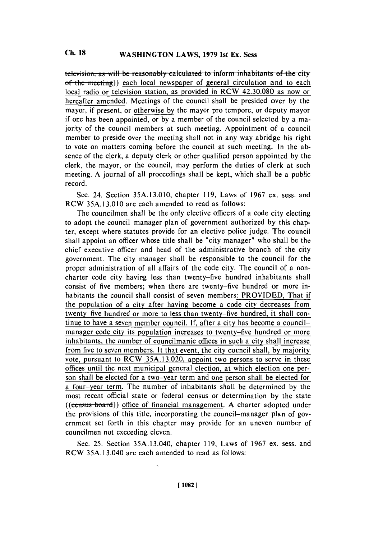**television, as will be reasonably calculated to inform inhabitants of the city** of the meeting) each local newspaper of general circulation and to each local radio or television station, as provided in RCW 42.30.080 as now or hereafter amended. Meetings of the council shall be presided over **by** the mayor, if present, or otherwise **by** the mayor pro tempore, or deputy mayor if one has been appointed, or **by** a member of the council selected **by** a majority of the council members at such meeting. Appointment of a council member to preside over the meeting shall not in any way abridge his right to vote on matters coming before the council at such meeting. In the absence of the clerk, a deputy clerk or other qualified person appointed **by** the clerk, the mayor, or the council, may perform the duties of clerk at such meeting. **A** journal of all proceedings shall be kept, which shall be a public record.

Sec. 24. Section **35A.13.010,** chapter **119,** Laws of **1967** ex. sess. and RCW **35A.13.010** are each amended to read as follows:

The councilmen shall be the only elective officers of a code city electing to adopt the council-manager plan of government authorized **by** this chapter, except where statutes provide for an elective police judge. The council shall appoint an officer whose title shall be 'city manager" who shall be the chief executive officer and head of the administrative branch of the city government. The city manager shall be responsible to the council for the proper administration of all affairs of the code city. The council of a noncharter code city having less than twenty-five hundred inhabitants shall consist of five members; when there are twenty-five hundred or more inhabitants the council shall consist of seven members: PROVIDED, That if the population of a city after having become a code city decreases from twenty-five hundred or more to less than twenty-five hundred, it shall continue to have a seven member council. **If,** after a city has become a councilmanager code city its population increases to twenty-five hundred or more inhabitants, the number of councilmanic offices in such a city shall increase from five to seven members. It that event, the city council shall, **by** majority vote, pursuant to RCW **35A.13.020,** appoint two persons to serve in these offices until the next municipal general election, at which election one person shall be elected for a two-year term and one person shall be elected for a four-year term. The number of inhabitants shall be determined **by** the most recent official state or federal census or determination **by** the state ((census-board)) office of financial management. A charter adopted under the provisions of this title, incorporating the council-manager plan of government set forth in this chapter may provide for an uneven number of councilmen not exceeding eleven.

Sec. *25.* Section **35A.13.040,** chapter **119,** Laws of **1967** ex. sess. and RCW **35A.13.040** are each amended to read as follows: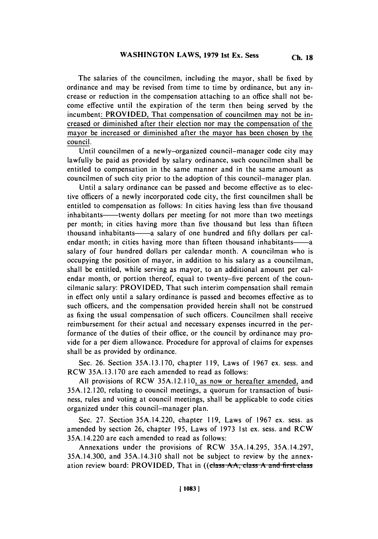**The** salaries of the councilmen, including the mayor, shall be fixed **by** ordinance and may be revised from time to time **by** ordinance, but any increase or reduction in the compensation attaching to an office shall not become effective until the expiration of the term then being served **by** the incumbent: PROVIDED, That compensation of councilmen may not be increased or diminished after their election nor may the compensation of the mayor be increased or diminished after the mayor has been chosen **by** the council.

Until councilmen of a newly-organized council-manager code city may lawfully be paid as provided **by** salary ordinance, such councilmen shall be entitled to compensation in the same manner and in the same amount as councilmen of such city prior to the adoption of this council-manager plan.

Until a salary ordinance can be passed and become effective as to elective officers of a newly incorporated code city, the first councilmen shall be entitled to compensation as follows: In cities having less than five thousand inhabitants——twenty dollars per meeting for not more than two meetings per month; in cities having more than five thousand but less than fifteen thousand inhabitants—a salary of one hundred and fifty dollars per calendar month; in cities having more than fifteen thousand inhabitants——a salary of four hundred dollars per calendar month. **A** councilman who is occupying the position of mayor, in addition to his salary as a councilman, shall be entitled, while serving as mayor, to an additional amount per calendar month, or portion thereof, equal to twenty-five percent of the councilmanic salary: PROVIDED, That such interim compensation shall remain in effect only until a salary ordinance is passed and becomes effective as to such officers, and the compensation provided herein shall not be construed as fixing the usual compensation of such officers. Councilmen shall receive reimbursement for their actual and necessary expenses incurred in the performance of the duties of their office, or the council **by** ordinance may provide for a per diem allowance. Procedure for approval of claims for expenses shall be as provided **by** ordinance.

Sec. **26.** Section **35A.13.170,** chapter **119,** Laws of **1967** ex. sess. and RCW **35A.13.170** are each amended to read as follows:

**All** provisions of RCW *35A. 12.1* **10,** as now or hereafter amended, and **35A.12.120,** relating to council meetings, a quorum for transaction of business, rules and voting at council meetings, shall be applicable to code cities organized under this council-manager plan.

Sec. **27.** Section 35A.14.220, chapter **119,** Laws of **1967** ex. sess. as amended **by** section **26,** chapter **195,** Laws of **1973** 1st ex. sess. and RCW 35A.14.220 are each amended to read as follows:

Annexations under the provisions of RCW **35A.14.295, 35A.14.297, 35A.14.300,** and **35A.14.310** shall not be subject to review **by** the annexation review board: PROVIDED, That in ((class AA, class A and first class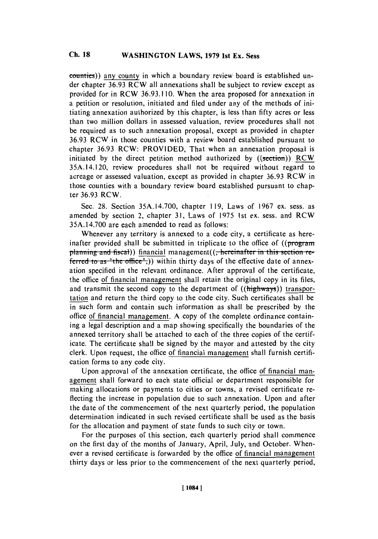counties)) any county in which a boundary review board is established under chapter **36.93** RCW all annexations shall be subject to review except as provided for in RCW **36.93.110.** When the area proposed for annexation in a petition or resolution, initiated and filed under any of the methods of initiating annexation authorized **by** this chapter, is less than **fifty** acres or less than two million dollars in assessed valuation, review procedures shall not be required as to such annexation proposal, except as provided in chapter **36.93** RCW in those counties with a review board established pursuant to chapter **36.93** RCW: PROVIDED, That when an annexation proposal is initiated **by** the direct petition method authorized **by** ((section)) RCW 35A.14.120, review procedures shall not be required without regard to acreage or assessed valuation, except as provided in chapter **36.93** RCW in those counties with a boundary review board established pursuant to chapter **36.93** RCW.

Sec. **28.** Section **35A.14.700,** chapter **119,** Laws of **1967** ex. sess. as amended **by** section 2, chapter **31,** Laws of **1975** 1st ex. sess. and RCW **35A.** 14.700 are each amended to read as follows:

Whenever any territory is annexed to a code city, a certificate as hereinafter provided shall be submitted in triplicate to the office of  $((\text{program})$ planning and fiscal)) financial management((<del>, hereinafter in this sect</del> ferred to as "the office",)) within thirty days of the effective date of annexation specified in the relevant ordinance. After approval of the certificate, the office of financial management shall retain the original copy in its files, and transmit the second copy to the department of  $((\text{highways}))$  transportation and return the third copy to the code city. Such certificates shall be in such form and contain such information as shall be prescribed **by** the office of financial management. **A** copy of the complete ordinance containing a legal description and a map showing specifically the boundaries of the annexed territory shall be attached to each of the three copies of the certificate. The certificate shall be signed **by** the mayor and attested **by** the city clerk. Upon request, the office of financial management shall furnish certification forms to any code city.

Upon approval of the annexation certificate, the office of financial management shall forward to each state official or department responsible for making allocations or payments to cities or towns, a revised certificate reflecting the increase in population due to such annexation. Upon and after the date of the commencement of the next quarterly period, the population determination indicated in such revised certificate shall be used as the basis for the allocation and payment of state funds to such city or town.

For the purposes of this section, each quarterly period shall commence on the first day of the months of January, April, July, and October. Whenever a revised certificate is forwarded **by** the office of financial management thirty days or less prior to the commencement of the next quarterly period,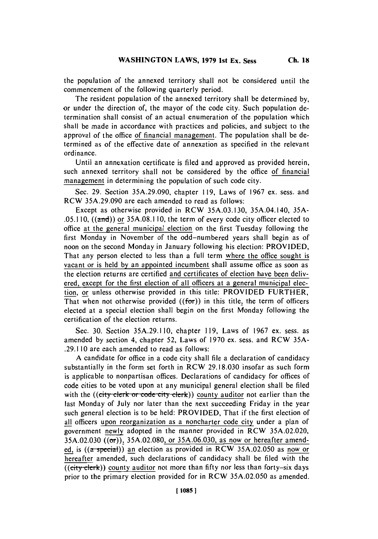the population of the annexed territory shall not be considered until the commencement of the following quarterly period.

The resident population of the annexed territory shall **be** determined **by,** or under the direction of, the mayor of the code city. Such population determination shall consist of an actual enumeration of the population which shall be made in accordance with practices and policies, and subject to the approval of the office of financial management. The population shall be determined as of the effective date of annexation as specified in the relevant ordinance.

Until an annexation certificate is filed and approved as provided herein, such annexed territory shall not be considered **by** the office of financial management in determining the population of such code city.

Sec. **29.** Section **35A.29.090,** chapter **119,** Laws of **1967** ex. sess. and RCW **35A.29.090** are each amended to read as follows:

Except as otherwise provided in RCW **35A.03.130,** 35A.04.140, **35A- .05.110,** ((anrd)) or **35A.08.1 10,** the term of every code city officer elected to office at the general municipal election on the first Tuesday following the first Monday in November of the odd-numbered years shall begin as of noon on the second Monday in January following his election: PROVIDED, That any person elected to less than a full term where the office sought is vacant or is held **by** an appointed incumbent shall assume office as soon as the election returns are certified and certificates of election have been delivered, except for the first election of all officers at a general municipal election, or unless otherwise provided in this title: PROVIDED FURTHER, That when not otherwise provided  $((for))$  in this title, the term of officers elected at a special election shall begin on the first Monday following the certification of the election returns.

Sec. **30.** Section **35A.29.1 110,** chapter **11 9,** Laws of **1967** ex. sess. as amended **by** section 4, chapter *52,* Laws of **1970** ex. sess. and RCW **35A- .29.110** are each amended to read as follows:

**A** candidate for office in a code city shall file a declaration of candidacy substantially in the form set forth in RCW **29.18.030** insofar as such form is applicable to nonpartisan offices. Declarations of candidacy for offices of code cities to be voted upon at any municipal general election shall be filed with the ((city clerk or code city clerk)) county auditor not earlier than the last Monday of July nor later than the next succeeding Friday in the year such general election is to **be** held: PROVIDED, That if the first election of all officers upon reorganization as a noncharter code city under a plan of government newly adopted in the manner provided in RCW **35A.02.020, 35A.02.030** ((or)), **35A.02.080,** or **35A.06.030,** as now or hereafter amended, is ((a-special)) an election as provided in RCW **35A.02.050** as now or hereafter amended, such declarations of candidacy shall be filed with the **((city-clerk))** county auditor not more than **fifty** nor less than forty-six days prior to the primary election provided for in RCW **35A.02.050** as amended.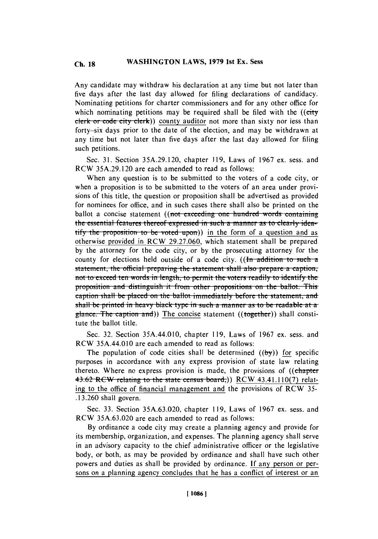### **Ch WASHINGTON 18 LAWS, 1979 1st Ex. Sess Ch. 18**

Any candidate may withdraw his declaration at any time but not later than five days after the last day allowed for filing declarations of candidacy. Nominating petitions for charter commissioners and for any other office for which nominating petitions may be required shall be filed with the *((city* clerk or code city clerk)) county auditor not more than sixty nor less than forty-six days prior to the date of the election, and may be withdrawn at any time but not later than five days after the last day allowed for filing such petitions.

Sec. **31.** Section **35A.29.120,** chapter **119,** Laws of **1967** ex. sess. and RCW **35A.29.120** are each amended to read as follows:

When any question is to be submitted to the voters of a code city, or when a proposition is to be submitted to the voters of an area under provisions of this title, the question or proposition shall be advertised as provided for nominees for office, and in such cases there shall also be printed on the ballot a concise statement ((not exceeding one hundred words containing **the essential features thereof expressed in such a manner as to clearly identify the proposition to be voted upon)) in the form of a question and as** otherwise provided in RCW **29.27.060,** which statement shall be prepared **by** the attorney for the code city, or **by** the prosecuting attorney for the county for elections held outside of a code city. ((In addition to such a **statement, the official preparing the statement shall also prepare a caption,** not to exceed ten words in length, to permit the voters readily to identify the proposition and distinguish it from other propositions on the ballot. This caption shall be placed on the ballot immediately before the statement, and **shall be printed in heavy black type in such a manner as to be readable at a** glance. The caption and)) The concise statement ((together)) shall constitute the ballot title.

Sec. **32.** Section 35A.44.0 10, chapter **119,** Laws of **1967** ex. sess. and RCW 35A.44.010 are each amended to read as follows:

The population of code cities shall be determined  $((by))$  for specific purposes in accordance with any express provision of state law relating thereto. Where no express provision is made, the provisions of ((chapter 43.62 RCW relating to the state census board<sub>r</sub>)) RCW 43.41.110(7) relating to the office of financial management and the provisions of **RCW 35- .13.260** shall govern.

Sec. **33.** Section **35A.63.020,** chapter **119,** Laws of **1967** ex. sess. and RCW **35A.63.020** are each amended to read as follows:

**By** ordinance a code city may create a planning agency and provide for its membership, organization, and expenses. The planning agency shall serve in an advisory capacity to the chief administrative officer or the legislative body, or both, as may be provided **by** ordinance and shall have such other powers and duties as shall **be** provided **by** ordinance. **If** any person or persons on a planning agency concludes that he has a conflict of interest or an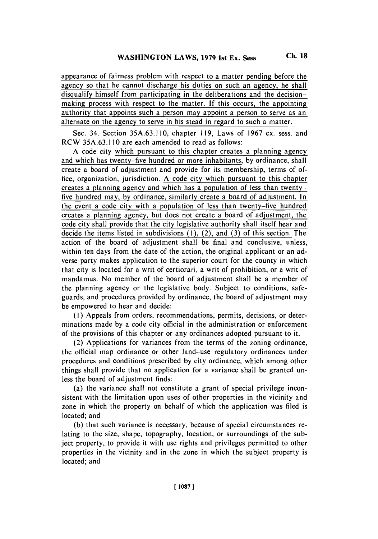appearance of fairness problem with respect to a matter pending before the agency so that he cannot discharge his duties on such an agency, he shall disqualify himself from participating in the deliberations and the decisionmaking process with respect to the matter. **If** this occurs, the appointing authority that appoints such a person may appoint a person to serve as an alternate on the agency to serve in his stead in regard to such a matter.

Sec. 34. Section **35A.63.1 10,** chapter **119,** Laws of **1967** ex. sess. and RCW **35A.63.1 10** are each amended to read as follows:

**A** code city which pursuant to this chapter creates a planning agency and which has twenty-five hundred or more inhabitants, **by** ordinance, shall create a board of adjustment and provide for its membership, terms of *of*fice, organization, jurisdiction. **A** code city which pursuant to this chapter creates a planning agency and which has a population of less than twentyfive hundred may, **by** ordinance, similarly create a board of adjustment. In the event a code city with a population of less than twenty-five hundred creates a planning agency, but does not create a board of adjustment, the code city shall provide that the city legislative authority shall itself hear and decide the items listed in subdivisions **(1),** (2), and **(3)** of this section. The action of the board of adjustment shall be final and conclusive, unless, within ten days from the date of the action, the original applicant or an adverse party makes application to the superior court for the county in which that city is located for a writ of certiorari, a writ of prohibition, or a writ of mandamus. No member of the board of adjustment shall be a member of the planning agency or the legislative body. Subject to conditions, safeguards, and procedures provided **by** ordinance, the board of adjustment may be empowered to hear and decide:

**(I)** Appeals from orders, recommendations, permits, decisions, or determinations made **by** a code city official in the administration or enforcement of the provisions of this chapter or any ordinances adopted pursuant to **it.**

(2) Applications for variances from the terms of the zoning ordinance, the official map ordinance or other land-use regulatory ordinances under procedures and conditions prescribed **by** city ordinance, which among other things shall provide that no application for a variance shall be granted unless the board of adjustment finds:

(a) the variance shall not constitute a grant of special privilege inconsistent with the limitation upon uses of other properties in the vicinity and zone in which the property on behalf of which the application was filed is located; and

**(b)** that such variance is necessary, because of special circumstances relating to the size, shape, topography, location, or surroundings of the subject property, to provide it with use rights and privileges permitted to other properties in the vicinity and in the zone in which the subject property is located; and